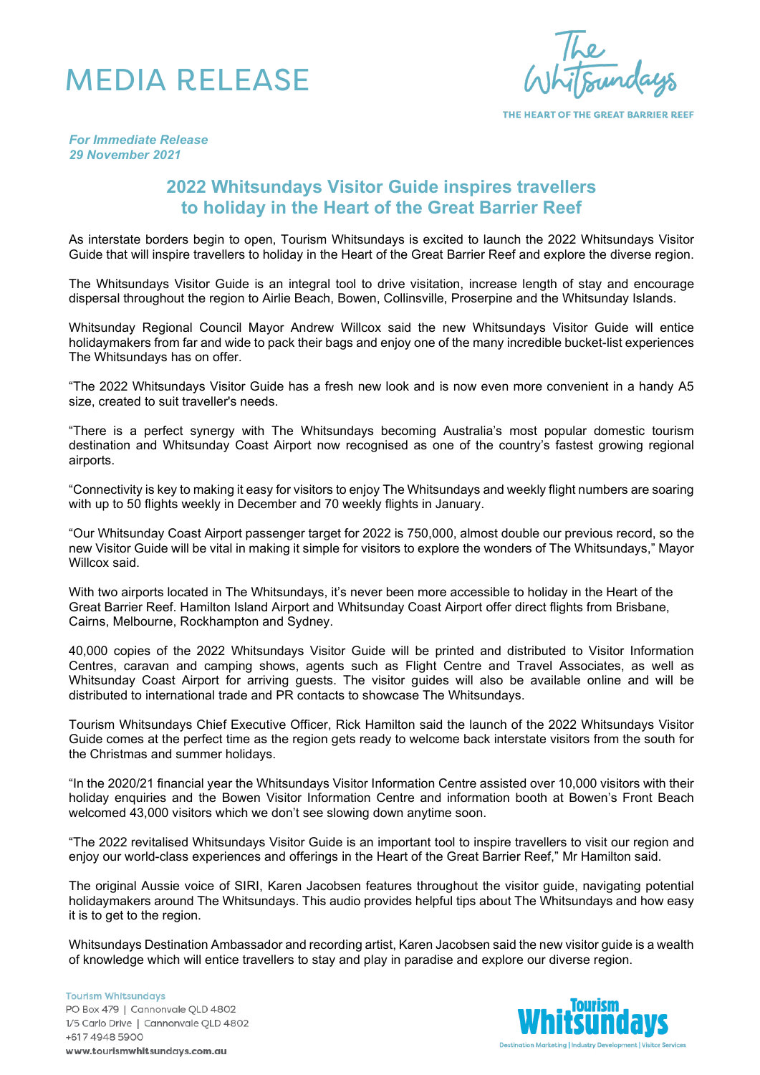## MEDIA RELEASE

THE HEART OF THE GREAT BARRIER REEF

*For Immediate Release 29 November 2021*

## **2022 Whitsundays Visitor Guide inspires travellers to holiday in the Heart of the Great Barrier Reef**

As interstate borders begin to open, Tourism Whitsundays is excited to launch the 2022 Whitsundays Visitor Guide that will inspire travellers to holiday in the Heart of the Great Barrier Reef and explore the diverse region.

The Whitsundays Visitor Guide is an integral tool to drive visitation, increase length of stay and encourage dispersal throughout the region to Airlie Beach, Bowen, Collinsville, Proserpine and the Whitsunday Islands.

Whitsunday Regional Council Mayor Andrew Willcox said the new Whitsundays Visitor Guide will entice holidaymakers from far and wide to pack their bags and enjoy one of the many incredible bucket-list experiences The Whitsundays has on offer.

"The 2022 Whitsundays Visitor Guide has a fresh new look and is now even more convenient in a handy A5 size, created to suit traveller's needs.

"There is a perfect synergy with The Whitsundays becoming Australia's most popular domestic tourism destination and Whitsunday Coast Airport now recognised as one of the country's fastest growing regional airports.

"Connectivity is key to making it easy for visitors to enjoy The Whitsundays and weekly flight numbers are soaring with up to 50 flights weekly in December and 70 weekly flights in January.

"Our Whitsunday Coast Airport passenger target for 2022 is 750,000, almost double our previous record, so the new Visitor Guide will be vital in making it simple for visitors to explore the wonders of The Whitsundays," Mayor Willcox said.

With two airports located in The Whitsundays, it's never been more accessible to holiday in the Heart of the Great Barrier Reef. Hamilton Island Airport and Whitsunday Coast Airport offer direct flights from Brisbane, Cairns, Melbourne, Rockhampton and Sydney.

40,000 copies of the 2022 Whitsundays Visitor Guide will be printed and distributed to Visitor Information Centres, caravan and camping shows, agents such as Flight Centre and Travel Associates, as well as Whitsunday Coast Airport for arriving guests. The visitor guides will also be available online and will be distributed to international trade and PR contacts to showcase The Whitsundays.

Tourism Whitsundays Chief Executive Officer, Rick Hamilton said the launch of the 2022 Whitsundays Visitor Guide comes at the perfect time as the region gets ready to welcome back interstate visitors from the south for the Christmas and summer holidays.

"In the 2020/21 financial year the Whitsundays Visitor Information Centre assisted over 10,000 visitors with their holiday enquiries and the Bowen Visitor Information Centre and information booth at Bowen's Front Beach welcomed 43,000 visitors which we don't see slowing down anytime soon.

"The 2022 revitalised Whitsundays Visitor Guide is an important tool to inspire travellers to visit our region and enjoy our world-class experiences and offerings in the Heart of the Great Barrier Reef," Mr Hamilton said.

The original Aussie voice of SIRI, Karen Jacobsen features throughout the visitor guide, navigating potential holidaymakers around The Whitsundays. This audio provides helpful tips about The Whitsundays and how easy it is to get to the region.

Whitsundays Destination Ambassador and recording artist, Karen Jacobsen said the new visitor guide is a wealth of knowledge which will entice travellers to stay and play in paradise and explore our diverse region.

**Tourism Whitsundays** PO Box 479 | Cannonvale QLD 4802 1/5 Carlo Drive | Cannonvale QLD 4802 +617 4948 5900 www.tourismwhitsundays.com.au